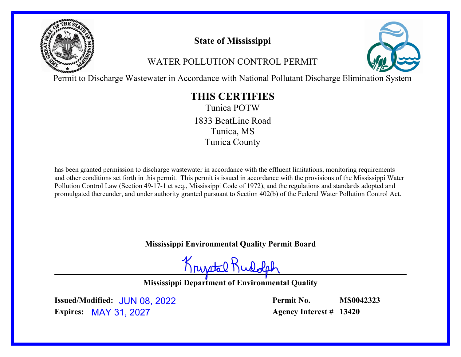

# **State of Mississippi**

# WATER POLLUTION CONTROL PERMIT



Permit to Discharge Wastewater in Accordance with National Pollutant Discharge Elimination System

# **THIS CERTIFIES**

Tunica POTW Tunica, MS Tunica County 1833 BeatLine Road

has been granted permission to discharge wastewater in accordance with the effluent limitations, monitoring requirements and other conditions set forth in this permit. This permit is issued in accordance with the provisions of the Mississippi Water Pollution Control Law (Section 49-17-1 et seq., Mississippi Code of 1972), and the regulations and standards adopted and promulgated thereunder, and under authority granted pursuant to Section 402(b) of the Federal Water Pollution Control Act.

**Mississippi Environmental Quality Permit Board**

Krustal Rud

**Mississippi Department of Environmental Quality**

**Issued/Modified:** JUN 08, 2022 **Expires:** MAY 31, 2027

**Permit No. Agency Interest # 13420 MS0042323**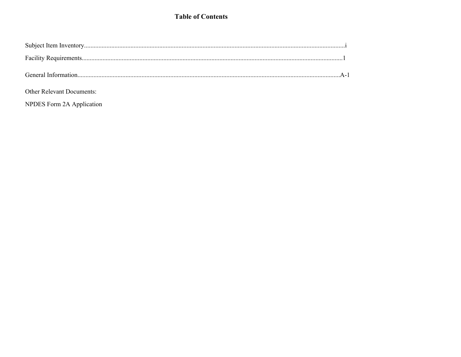### **Table of Contents**

| <b>Other Relevant Documents:</b> |  |
|----------------------------------|--|

NPDES Form 2A Application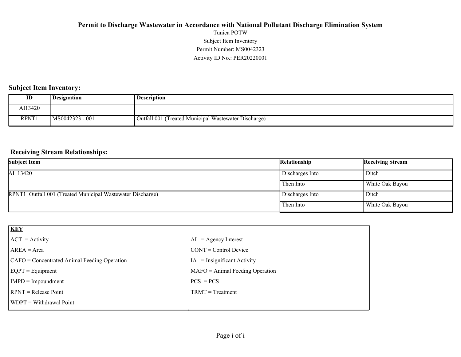### Activity ID No.: PER20220001 Permit Number: MS0042323 Subject Item Inventory Tunica POTW **Permit to Discharge Wastewater in Accordance with National Pollutant Discharge Elimination System**

### **Subject Item Inventory:**

| ID      | Designation     | <b>Description</b>                                   |
|---------|-----------------|------------------------------------------------------|
| AI13420 |                 |                                                      |
| RPNT1   | MS0042323 - 001 | Outfall 001 (Treated Municipal Wastewater Discharge) |

### **Receiving Stream Relationships:**

| <b>Subject Item</b>                                        | Relationship    | <b>Receiving Stream</b> |
|------------------------------------------------------------|-----------------|-------------------------|
| AI 13420                                                   | Discharges Into | Ditch                   |
|                                                            | Then Into       | White Oak Bayou         |
| RPNT1 Outfall 001 (Treated Municipal Wastewater Discharge) | Discharges Into | Ditch                   |
|                                                            | Then Into       | White Oak Bayou         |

| KEY                                          |                                   |
|----------------------------------------------|-----------------------------------|
| $ ACT = Activity$                            | $AI = Agency Interest$            |
| $AREA = Area$                                | $CONT = Control$ Device           |
| CAFO = Concentrated Animal Feeding Operation | $IA = Insignificant Activity$     |
| $EGPT = Equipment$                           | $MAFO = Animal Feeding Operation$ |
| $IMPD = Impoundment$                         | $PCS = PCs$                       |
| $RPNT = Release Point$                       | $TRMT = Treatment$                |
| WDPT = Withdrawal Point                      |                                   |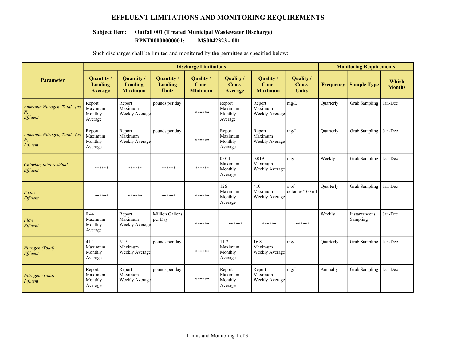### **EFFLUENT LIMITATIONS AND MONITORING REQUIREMENTS**

### **Subject Item: Outfall 001 (Treated Municipal Wastewater Discharge)**

**RPNT00000000001: MS0042323 - 001**

|                                              |                                         |                                         |                                       | <b>Discharge Limitations</b>         |                                         |                                            |                                    |                  | <b>Monitoring Requirements</b> |                        |
|----------------------------------------------|-----------------------------------------|-----------------------------------------|---------------------------------------|--------------------------------------|-----------------------------------------|--------------------------------------------|------------------------------------|------------------|--------------------------------|------------------------|
| <b>Parameter</b>                             | Quantity/<br>Loading<br>Average         | Quantity /<br>Loading<br><b>Maximum</b> | Quantity /<br>Loading<br><b>Units</b> | Quality /<br>Conc.<br><b>Minimum</b> | Quality /<br>Conc.<br><b>Average</b>    | Quality /<br>Conc.<br><b>Maximum</b>       | Quality /<br>Conc.<br><b>Units</b> | <b>Frequency</b> | <b>Sample Type</b>             | Which<br><b>Months</b> |
| Ammonia Nitrogen, Total (as<br>N<br>Effluent | Report<br>Maximum<br>Monthly<br>Average | Report<br>Maximum<br>Weekly Average     | pounds per day                        | ******                               | Report<br>Maximum<br>Monthly<br>Average | Report<br>Maximum<br><b>Weekly Average</b> | mg/L                               | Quarterly        | <b>Grab Sampling</b>           | Jan-Dec                |
| Ammonia Nitrogen, Total (as<br>N<br>Influent | Report<br>Maximum<br>Monthly<br>Average | Report<br>Maximum<br>Weekly Average     | pounds per day                        | ******                               | Report<br>Maximum<br>Monthly<br>Average | Report<br>Maximum<br>Weekly Average        | mg/L                               | <b>Ouarterly</b> | <b>Grab Sampling</b>           | Jan-Dec                |
| Chlorine, total residual<br>Effluent         | ******                                  | ******                                  | ******                                | ******                               | 0.011<br>Maximum<br>Monthly<br>Average  | 0.019<br>Maximum<br>Weekly Average         | mg/L                               | Weekly           | <b>Grab Sampling</b>           | Jan-Dec                |
| E coli<br>Effluent                           | ******                                  | ******                                  | ******                                | ******                               | 126<br>Maximum<br>Monthly<br>Average    | 410<br>Maximum<br>Weekly Average           | $#$ of<br>colonies/100 ml          | <b>Ouarterly</b> | <b>Grab Sampling</b>           | Jan-Dec                |
| Flow<br>Effluent                             | 0.44<br>Maximum<br>Monthly<br>Average   | Report<br>Maximum<br>Weekly Average     | Million Gallons<br>per Day            | ******                               | ******                                  | ******                                     | ******                             | Weekly           | Instantaneous<br>Sampling      | Jan-Dec                |
| Nitrogen (Total)<br>Effluent                 | 41.1<br>Maximum<br>Monthly<br>Average   | 61.5<br>Maximum<br>Weekly Average       | pounds per day                        | ******                               | 11.2<br>Maximum<br>Monthly<br>Average   | 16.8<br>Maximum<br><b>Weekly Average</b>   | mg/L                               | <b>Ouarterly</b> | Grab Sampling                  | Jan-Dec                |
| Nitrogen (Total)<br>Influent                 | Report<br>Maximum<br>Monthly<br>Average | Report<br>Maximum<br>Weekly Average     | pounds per day                        | ******                               | Report<br>Maximum<br>Monthly<br>Average | Report<br>Maximum<br>Weekly Average        | mg/L                               | Annually         | Grab Sampling                  | Jan-Dec                |

Such discharges shall be limited and monitored by the permittee as specified below: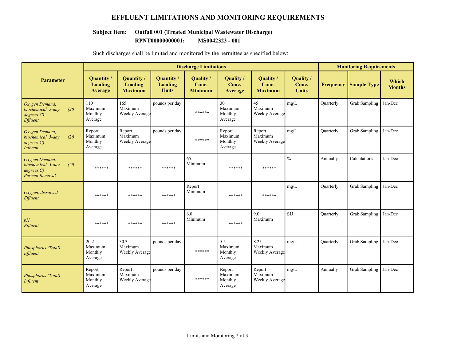### **EFFLUENT LIMITATIONS AND MONITORING REQUIREMENTS**

#### **Subject Item: Outfall 001 (Treated Municipal Wastewater Discharge)**

**RPNT00000000001: MS0042323 - 001**

|                                                                                   |                                         |                                         | <b>Discharge Limitations</b>          |                                      |                                         |                                            |                                    | <b>Monitoring Requirements</b> |                      |                               |
|-----------------------------------------------------------------------------------|-----------------------------------------|-----------------------------------------|---------------------------------------|--------------------------------------|-----------------------------------------|--------------------------------------------|------------------------------------|--------------------------------|----------------------|-------------------------------|
| <b>Parameter</b>                                                                  | Quantity/<br>Loading<br>Average         | Quantity /<br>Loading<br><b>Maximum</b> | Quantity /<br>Loading<br><b>Units</b> | Quality /<br>Conc.<br><b>Minimum</b> | Quality /<br>Conc.<br>Average           | Quality /<br>Conc.<br><b>Maximum</b>       | Quality /<br>Conc.<br><b>Units</b> | <b>Frequency</b>               | <b>Sample Type</b>   | <b>Which</b><br><b>Months</b> |
| Oxygen Demand,<br>biochemical, 5-day<br>(20)<br>degreeC<br>Effluent               | 110<br>Maximum<br>Monthly<br>Average    | 165<br>Maximum<br>Weekly Average        | pounds per day                        | ******                               | 30<br>Maximum<br>Monthly<br>Average     | 45<br>Maximum<br>Weekly Average            | mg/L                               | Quarterly                      | Grab Sampling        | Jan-Dec                       |
| Oxygen Demand,<br>(20)<br>biochemical, 5-day<br>degrees C)<br>Influent            | Report<br>Maximum<br>Monthly<br>Average | Report<br>Maximum<br>Weekly Average     | pounds per day                        | ******                               | Report<br>Maximum<br>Monthly<br>Average | Report<br>Maximum<br>Weekly Average        | mg/L                               | Quarterly                      | Grab Sampling        | Jan-Dec                       |
| Oxygen Demand,<br>biochemical, 5-day<br>(20)<br>degreeC<br><b>Percent Removal</b> | ******                                  | ******                                  | ******                                | 65<br>Minimum                        | ******                                  | ******                                     | $\frac{0}{0}$                      | Annually                       | Calculations         | Jan-Dec                       |
| Oxygen, dissolved<br>Effluent                                                     | ******                                  | ******                                  | ******                                | Report<br>Minimum                    | ******                                  | ******                                     | mg/L                               | Quarterly                      | <b>Grab Sampling</b> | Jan-Dec                       |
| pH<br>Effluent                                                                    | ******                                  | ******                                  | ******                                | 6.0<br>Minimum                       | ******                                  | 9.0<br>Maximum                             | SU                                 | Quarterly                      | <b>Grab Sampling</b> | Jan-Dec                       |
| Phosphorus (Total)<br>Effluent                                                    | 20.2<br>Maximum<br>Monthly<br>Average   | 30.3<br>Maximum<br>Weekly Average       | pounds per day                        | ******                               | 5.5<br>Maximum<br>Monthly<br>Average    | 8.25<br>Maximum<br>Weekly Average          | mg/L                               | Quarterly                      | <b>Grab Sampling</b> | Jan-Dec                       |
| Phosphorus (Total)<br>Influent                                                    | Report<br>Maximum<br>Monthly<br>Average | Report<br>Maximum<br>Weekly Average     | pounds per day                        | ******                               | Report<br>Maximum<br>Monthly<br>Average | Report<br>Maximum<br><b>Weekly Average</b> | mg/L                               | Annually                       | <b>Grab Sampling</b> | Jan-Dec                       |

Such discharges shall be limited and monitored by the permittee as specified below: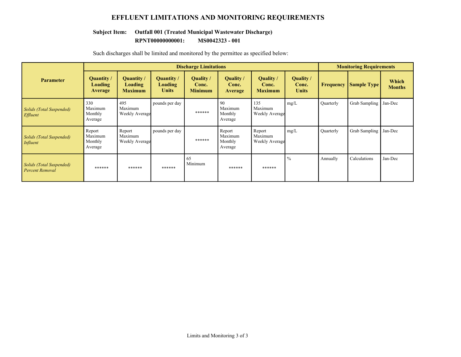### **EFFLUENT LIMITATIONS AND MONITORING REQUIREMENTS**

### **Subject Item: Outfall 001 (Treated Municipal Wastewater Discharge)**

**RPNT00000000001: MS0042323 - 001**

|                                                    |                                         |                                         |                                              | <b>Discharge Limitations</b>         |                                             |                                            |                                           |           | <b>Monitoring Requirements</b> |                        |
|----------------------------------------------------|-----------------------------------------|-----------------------------------------|----------------------------------------------|--------------------------------------|---------------------------------------------|--------------------------------------------|-------------------------------------------|-----------|--------------------------------|------------------------|
| <b>Parameter</b>                                   | Quantity /<br>Loading<br><b>Average</b> | Quantity /<br>Loading<br><b>Maximum</b> | Quantity /<br><b>Loading</b><br><b>Units</b> | Quality /<br>Conc.<br><b>Minimum</b> | <b>Ouality</b> /<br>Conc.<br><b>Average</b> | Quality /<br>Conc.<br><b>Maximum</b>       | <b>Quality</b> /<br>Conc.<br><b>Units</b> | Frequency | <b>Sample Type</b>             | Which<br><b>Months</b> |
| Solids (Total Suspended)<br><i>Effluent</i>        | 330<br>Maximum<br>Monthly<br>Average    | 495<br>Maximum<br>Weekly Average        | pounds per day                               | ******                               | 90<br>Maximum<br>Monthly<br>Average         | 135<br>Maximum<br>Weekly Average           | mg/L                                      | Ouarterly | Grab Sampling                  | Jan-Dec                |
| <b>Solids (Total Suspended)</b><br>Influent        | Report<br>Maximum<br>Monthly<br>Average | Report<br>Maximum<br>Weekly Average     | pounds per day                               | ******                               | Report<br>Maximum<br>Monthly<br>Average     | Report<br>Maximum<br><b>Weekly Average</b> | mg/L                                      | Quarterly | Grab Sampling                  | Jan-Dec                |
| Solids (Total Suspended)<br><b>Percent Removal</b> | ******                                  | ******                                  | ******                                       | 65<br>Minimum                        | ******                                      | ******                                     | $\frac{0}{0}$                             | Annually  | Calculations                   | Jan-Dec                |

Such discharges shall be limited and monitored by the permittee as specified below: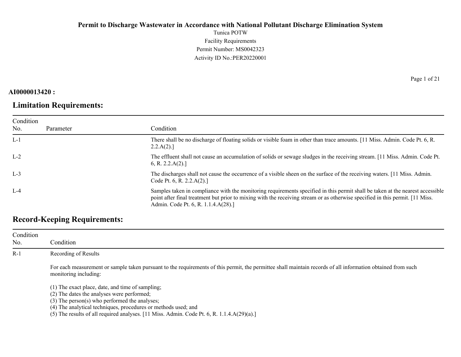Tunica POTW Facility Requirements Permit Number: MS0042323 Activity ID No.:PER20220001

### **AI0000013420 :**

# **Limitation Requirements:**

Page 1 of 21

| Condition<br>No. | Parameter | Condition                                                                                                                                                                                                                                                                                              |
|------------------|-----------|--------------------------------------------------------------------------------------------------------------------------------------------------------------------------------------------------------------------------------------------------------------------------------------------------------|
| $L-1$            |           | There shall be no discharge of floating solids or visible foam in other than trace amounts. [11 Miss. Admin. Code Pt. 6, R.<br>2.2.A(2).                                                                                                                                                               |
| $L-2$            |           | The effluent shall not cause an accumulation of solids or sewage sludges in the receiving stream. [11 Miss. Admin. Code Pt.<br>6, R. 2.2. $A(2)$ .]                                                                                                                                                    |
| $L-3$            |           | The discharges shall not cause the occurrence of a visible sheen on the surface of the receiving waters. [11 Miss. Admin.<br>Code Pt. 6, R. 2.2. $A(2)$ .]                                                                                                                                             |
| $L-4$            |           | Samples taken in compliance with the monitoring requirements specified in this permit shall be taken at the nearest accessible<br>point after final treatment but prior to mixing with the receiving stream or as otherwise specified in this permit. [11 Miss.<br>Admin. Code Pt. 6, R. 1.1.4.A(28).] |

## **Record-Keeping Requirements:**

| Condition<br>No. | Condition                                                                                                                                                                                                                                                                                                                                                      |
|------------------|----------------------------------------------------------------------------------------------------------------------------------------------------------------------------------------------------------------------------------------------------------------------------------------------------------------------------------------------------------------|
| $R-1$            | Recording of Results                                                                                                                                                                                                                                                                                                                                           |
|                  | For each measurement or sample taken pursuant to the requirements of this permit, the permittee shall maintain records of all information obtained from such<br>monitoring including:                                                                                                                                                                          |
|                  | (1) The exact place, date, and time of sampling;<br>(2) The dates the analyses were performed;<br>$(3)$ The person $(s)$ who performed the analyses;<br>(4) The analytical techniques, procedures or methods used; and<br>(5) The results of all required analyses. $[11 \text{ Miss. } \text{Admin. } \text{Code Pt. } 6, \text{R. } 1.1.4 \text{A}(29)(a).]$ |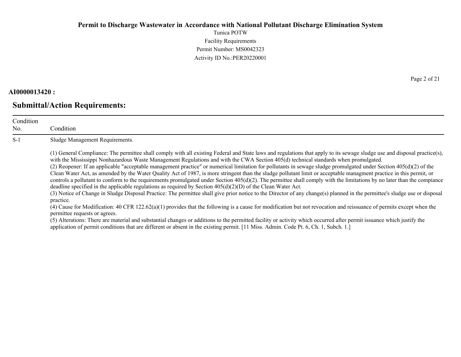Tunica POTW Facility Requirements Permit Number: MS0042323 Activity ID No.:PER20220001

#### **AI0000013420 :**

### **Submittal/Action Requirements:**

Condition No. Condition S-1 Sludge Management Requirements. (1) General Compliance: The permittee shall comply with all existing Federal and State laws and regulations that apply to its sewage sludge use and disposal practice(s), with the Mississippi Nonhazardous Waste Management Regulations and with the CWA Section 405(d) technical standards when promulgated. (2) Reopener: If an applicable "acceptable management practice" or numerical limitation for pollutants in sewage sludge promulgated under Section  $405(d)(2)$  of the Clean Water Act, as amended by the Water Quality Act of 1987, is more stringent than the sludge pollutant limit or acceptable managment practice in this permit, or controls a pollutant to conform to the requirements promulgated under Section  $405(d)(2)$ . The permittee shall comply with the limitations by no later than the compiance deadline specified in the applicable regulations as required by Section 405(d)(2)(D) of the Clean Water Act. (3) Notice of Change in Sludge Disposal Practice: The permittee shall give prior notice to the Director of any change(s) planned in the permittee's sludge use or disposal practice. (4) Cause for Modification: 40 CFR 122.62(a)(1) provides that the following is a cause for modification but not revocation and reissuance of permits except when the permittee requests or agrees.

(5) Alterations: There are material and substantial changes or additions to the permitted facility or activity which occurred after permit issuance which justify the application of permit conditions that are different or absent in the existing permit. [11 Miss. Admin. Code Pt. 6, Ch. 1, Subch. 1.]

Page 2 of 21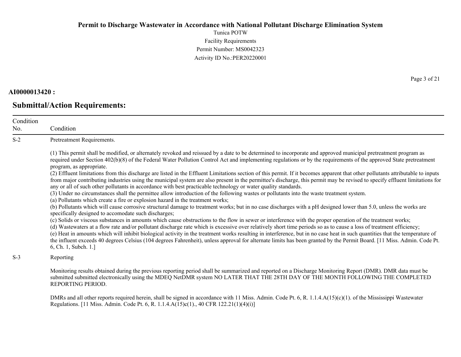Tunica POTW Facility Requirements Permit Number: MS0042323 Activity ID No.:PER20220001

#### **AI0000013420 :**

No.

**Submittal/Action Requirements:**

Condition Condition S-2 Pretreatment Requirements. (1) This permit shall be modified, or alternately revoked and reissued by a date to be determined to incorporate and approved municipal pretreatment program as required under Section 402(b)(8) of the Federal Water Pollution Control Act and implementing regulations or by the requirements of the approved State pretreatment program, as appropriate. (2) Effluent limitations from this discharge are listed in the Effluent Limitations section of this permit. If it becomes apparent that other pollutants attributable to inputs from major contributing industries using the municipal system are also present in the permittee's discharge, this permit may be revised to specify effluent limitations for any or all of such other pollutants in accordance with best practicable technology or water quality standards. (3) Under no circumstances shall the permittee allow introduction of the following wastes or pollutants into the waste treatment system. (a) Pollutants which create a fire or explosion hazard in the treatment works; (b) Pollutants which will cause corrosive structural damage to treatment works; but in no case discharges with a pH designed lower than 5.0, unless the works are specifically designed to accomodate such discharges; (c) Solids or viscous substances in amounts which cause obstructions to the flow in sewer or interference with the proper operation of the treatment works; (d) Wastewaters at a flow rate and/or pollutant discharge rate which is excessive over relatively short time periods so as to cause a loss of treatment efficiency; (e) Heat in amounts which will inhibit biological activity in the treatment works resulting in interference, but in no case heat in such quantities that the temperature of the influent exceeds 40 degrees Celsius (104 degrees Fahrenheit), unless approval for alternate limits has been granted by the Permit Board. [11 Miss. Admin. Code Pt. 6, Ch. 1, Subch. 1.]

S-3 Reporting

Monitoring results obtained during the previous reporting period shall be summarized and reported on a Discharge Monitoring Report (DMR). DMR data must be submitted submitted electronically using the MDEQ NetDMR system NO LATER THAT THE 28TH DAY OF THE MONTH FOLLOWING THE COMPLETED REPORTING PERIOD.

DMRs and all other reports required herein, shall be signed in accordance with 11 Miss. Admin. Code Pt. 6, R. 1.1.4.A(15)(c)(1). of the Mississippi Wastewater Regulations. [11 Miss. Admin. Code Pt. 6, R. 1.1.4.A(15)c(1)., 40 CFR 122.21(1)(4)(i)]

Page 3 of 21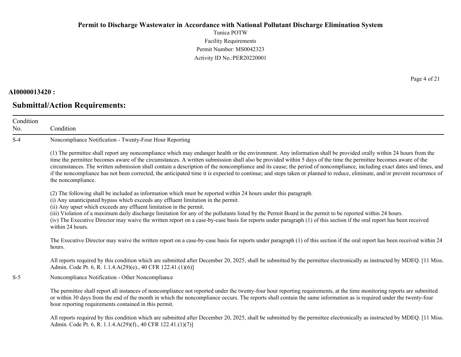Tunica POTW Facility Requirements Permit Number: MS0042323 Activity ID No.:PER20220001

#### **AI0000013420 :**

No.

### **Submittal/Action Requirements:**

Condition Condition S-4 Noncompliance Notification - Twenty-Four Hour Reporting (1) The permittee shall report any noncompliance which may endanger health or the environment. Any information shall be provided orally within 24 hours from the time the permittee becomes aware of the circumstances. A written submission shall also be provided within 5 days of the time the permittee becomes aware of the circumstances. The written submission shall contain a description of the noncompliance and its cause; the period of noncompliance, including exact dates and times, and if the noncompliance has not been corrected, the anticipated time it is expected to continue; and steps taken or planned to reduce, eliminate, and/or prevent recurrence of the noncompliance. (2) The following shall be included as information which must be reported within 24 hours under this paragraph. (i) Any unanticipated bypass which exceeds any effluent limitation in the permit. (ii) Any upset which exceeds any effluent limitation in the permit. (iii) Violation of a maximum daily discharge limitation for any of the pollutants listed by the Permit Board in the permit to be reported within 24 hours. (iv) The Executive Director may waive the written report on a case-by-case basis for reports under paragraph (1) of this section if the oral report has been received within 24 hours. The Executive Director may waive the written report on a case-by-case basis for reports under paragraph (1) of this section if the oral report has been received within 24 hours. All reports required by this condition which are submitted after December 20, 2025, shall be submitted by the permittee electronically as instructed by MDEQ. [11 Miss.] Admin. Code Pt. 6, R. 1.1.4.A(29)(e)., 40 CFR 122.41.(1)(6)] S-5 Noncompliance Notification - Other Noncompliance

The permittee shall report all instances of noncompliance not reported under the twenty-four hour reporting requirements, at the time monitoring reports are submitted or within 30 days from the end of the month in which the noncompliance occurs. The reports shall contain the same information as is required under the twenty-four hour reporting requirements contained in this permit.

All reports required by this condition which are submitted after December 20, 2025, shall be submitted by the permittee electronically as instructed by MDEQ. [11 Miss. Admin. Code Pt. 6, R. 1.1.4.A(29)(f)., 40 CFR 122.41.(1)(7)]

Page 4 of 21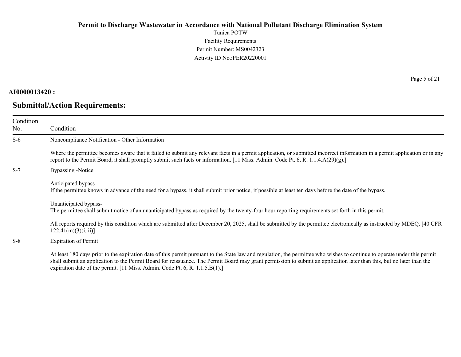Tunica POTW Facility Requirements Permit Number: MS0042323 Activity ID No.:PER20220001

### **AI0000013420 :**

# **Submittal/Action Requirements:**

Page 5 of 21

| Condition<br>No. | Condition                                                                                                                                                                                                                                                                                                                                                                                                                         |
|------------------|-----------------------------------------------------------------------------------------------------------------------------------------------------------------------------------------------------------------------------------------------------------------------------------------------------------------------------------------------------------------------------------------------------------------------------------|
| $S-6$            | Noncompliance Notification - Other Information                                                                                                                                                                                                                                                                                                                                                                                    |
|                  | Where the permittee becomes aware that it failed to submit any relevant facts in a permit application, or submitted incorrect information in a permit application or in any<br>report to the Permit Board, it shall promptly submit such facts or information. [11 Miss. Admin. Code Pt. 6, R. 1.1.4. $A(29)(g)$ .]                                                                                                               |
| $S-7$            | Bypassing -Notice                                                                                                                                                                                                                                                                                                                                                                                                                 |
|                  | Anticipated bypass-<br>If the permittee knows in advance of the need for a bypass, it shall submit prior notice, if possible at least ten days before the date of the bypass.                                                                                                                                                                                                                                                     |
|                  | Unanticipated bypass-<br>The permittee shall submit notice of an unanticipated bypass as required by the twenty-four hour reporting requirements set forth in this permit.                                                                                                                                                                                                                                                        |
|                  | All reports required by this condition which are submitted after December 20, 2025, shall be submitted by the permittee electronically as instructed by MDEQ. [40 CFR<br>122.41(m)(3)(i, ii)                                                                                                                                                                                                                                      |
| $S-8$            | <b>Expiration of Permit</b>                                                                                                                                                                                                                                                                                                                                                                                                       |
|                  | At least 180 days prior to the expiration date of this permit pursuant to the State law and regulation, the permittee who wishes to continue to operate under this permit<br>shall submit an application to the Permit Board for reissuance. The Permit Board may grant permission to submit an application later than this, but no later than the<br>expiration date of the permit. [11 Miss. Admin. Code Pt. 6, R. 1.1.5.B(1).] |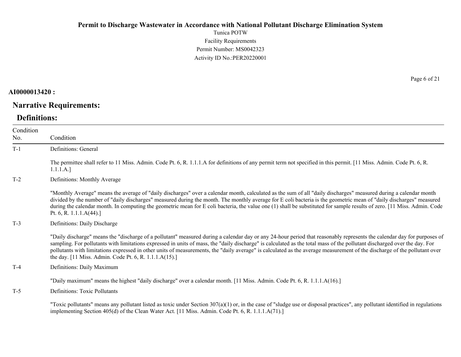Tunica POTW Facility Requirements Permit Number: MS0042323 Activity ID No.:PER20220001

### **AI0000013420 :**

# **Narrative Requirements:**

# **Definitions:**

| Condition<br>No. | Condition                                                                                                                                                                                                                                                                                                                                                                                                                                                                                                                                                                                   |
|------------------|---------------------------------------------------------------------------------------------------------------------------------------------------------------------------------------------------------------------------------------------------------------------------------------------------------------------------------------------------------------------------------------------------------------------------------------------------------------------------------------------------------------------------------------------------------------------------------------------|
| $T-1$            | Definitions: General                                                                                                                                                                                                                                                                                                                                                                                                                                                                                                                                                                        |
|                  | The permittee shall refer to 11 Miss. Admin. Code Pt. 6, R. 1.1.1.A for definitions of any permit term not specified in this permit. [11 Miss. Admin. Code Pt. 6, R.<br>1.1.1.A.]                                                                                                                                                                                                                                                                                                                                                                                                           |
| $T-2$            | Definitions: Monthly Average                                                                                                                                                                                                                                                                                                                                                                                                                                                                                                                                                                |
|                  | "Monthly Average" means the average of "daily discharges" over a calendar month, calculated as the sum of all "daily discharges" measured during a calendar month<br>divided by the number of "daily discharges" measured during the month. The monthly average for E coli bacteria is the geometric mean of "daily discharges" measured<br>during the calendar month. In computing the geometric mean for E coli bacteria, the value one (1) shall be substituted for sample results of zero. [11 Miss. Admin. Code<br>Pt. 6, R. 1.1.1. $A(44).$                                           |
| $T-3$            | Definitions: Daily Discharge                                                                                                                                                                                                                                                                                                                                                                                                                                                                                                                                                                |
|                  | "Daily discharge" means the "discharge of a pollutant" measured during a calendar day or any 24-hour period that reasonably represents the calendar day for purposes of<br>sampling. For pollutants with limitations expressed in units of mass, the "daily discharge" is calculated as the total mass of the pollutant discharged over the day. For<br>pollutants with limitations expressed in other units of measurements, the "daily average" is calculated as the average measurement of the discharge of the pollutant over<br>the day. [11 Miss. Admin. Code Pt. 6, R. 1.1.1.A(15).] |
| $T-4$            | Definitions: Daily Maximum                                                                                                                                                                                                                                                                                                                                                                                                                                                                                                                                                                  |
|                  | "Daily maximum" means the highest "daily discharge" over a calendar month. [11 Miss. Admin. Code Pt. 6, R. 1.1.1.A(16).]                                                                                                                                                                                                                                                                                                                                                                                                                                                                    |
| $T-5$            | Definitions: Toxic Pollutants                                                                                                                                                                                                                                                                                                                                                                                                                                                                                                                                                               |
|                  | "Toxic pollutants" means any pollutant listed as toxic under Section $307(a)(1)$ or, in the case of "sludge use or disposal practices", any pollutant identified in regulations<br>implementing Section 405(d) of the Clean Water Act. [11 Miss. Admin. Code Pt. 6, R. 1.1.1.A(71).]                                                                                                                                                                                                                                                                                                        |

Page 6 of 21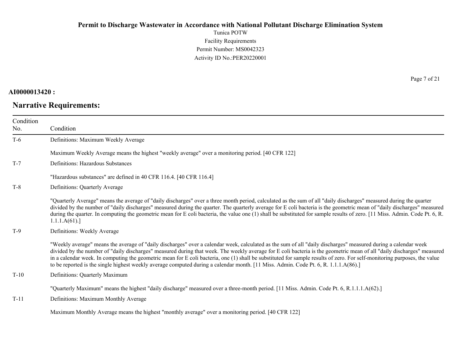Tunica POTW Facility Requirements Permit Number: MS0042323 Activity ID No.:PER20220001

### **AI0000013420 :**

# **Narrative Requirements:**

Page 7 of 21

| Condition<br>No. | Condition                                                                                                                                                                                                                                                                                                                                                                                                                                                                                                                                                                                                                                                    |
|------------------|--------------------------------------------------------------------------------------------------------------------------------------------------------------------------------------------------------------------------------------------------------------------------------------------------------------------------------------------------------------------------------------------------------------------------------------------------------------------------------------------------------------------------------------------------------------------------------------------------------------------------------------------------------------|
| $T-6$            | Definitions: Maximum Weekly Average                                                                                                                                                                                                                                                                                                                                                                                                                                                                                                                                                                                                                          |
|                  | Maximum Weekly Average means the highest "weekly average" over a monitoring period. [40 CFR 122]                                                                                                                                                                                                                                                                                                                                                                                                                                                                                                                                                             |
| $T-7$            | Definitions: Hazardous Substances                                                                                                                                                                                                                                                                                                                                                                                                                                                                                                                                                                                                                            |
|                  | "Hazardous substances" are defined in 40 CFR 116.4. [40 CFR 116.4]                                                                                                                                                                                                                                                                                                                                                                                                                                                                                                                                                                                           |
| $T-8$            | Definitions: Quarterly Average                                                                                                                                                                                                                                                                                                                                                                                                                                                                                                                                                                                                                               |
|                  | "Quarterly Average" means the average of "daily discharges" over a three month period, calculated as the sum of all "daily discharges" measured during the quarter<br>divided by the number of "daily discharges" measured during the quarter. The quarterly average for E coli bacteria is the geometric mean of "daily discharges" measured<br>during the quarter. In computing the geometric mean for E coli bacteria, the value one (1) shall be substituted for sample results of zero. [11 Miss. Admin. Code Pt. 6, R.<br>1.1.1.A(61).                                                                                                                 |
| $T-9$            | Definitions: Weekly Average                                                                                                                                                                                                                                                                                                                                                                                                                                                                                                                                                                                                                                  |
|                  | "Weekly average" means the average of "daily discharges" over a calendar week, calculated as the sum of all "daily discharges" measured during a calendar week<br>divided by the number of "daily discharges" measured during that week. The weekly average for E coli bacteria is the geometric mean of all "daily discharges" measured<br>in a calendar week. In computing the geometric mean for E coli bacteria, one (1) shall be substituted for sample results of zero. For self-monitoring purposes, the value<br>to be reported is the single highest weekly average computed during a calendar month. [11 Miss. Admin. Code Pt. 6, R. 1.1.1.A(86).] |
| $T-10$           | Definitions: Quarterly Maximum                                                                                                                                                                                                                                                                                                                                                                                                                                                                                                                                                                                                                               |
|                  | "Quarterly Maximum" means the highest "daily discharge" measured over a three-month period. [11 Miss. Admin. Code Pt. 6, R.1.1.1.A(62).]                                                                                                                                                                                                                                                                                                                                                                                                                                                                                                                     |
| $T-11$           | Definitions: Maximum Monthly Average                                                                                                                                                                                                                                                                                                                                                                                                                                                                                                                                                                                                                         |
|                  | Maximum Monthly Average means the highest "monthly average" over a monitoring period. [40 CFR 122]                                                                                                                                                                                                                                                                                                                                                                                                                                                                                                                                                           |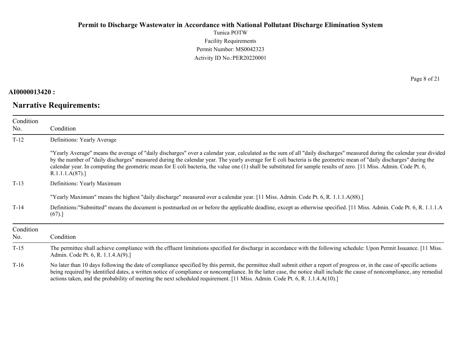Tunica POTW Facility Requirements Permit Number: MS0042323 Activity ID No.:PER20220001

### **AI0000013420 :**

# **Narrative Requirements:**

Page 8 of 21

| Condition |                                                                                                                                                                                                                                                                                                                                                                                                                                                                                                                                           |
|-----------|-------------------------------------------------------------------------------------------------------------------------------------------------------------------------------------------------------------------------------------------------------------------------------------------------------------------------------------------------------------------------------------------------------------------------------------------------------------------------------------------------------------------------------------------|
| No.       | Condition                                                                                                                                                                                                                                                                                                                                                                                                                                                                                                                                 |
| $T-12$    | Definitions: Yearly Average                                                                                                                                                                                                                                                                                                                                                                                                                                                                                                               |
|           | "Yearly Average" means the average of "daily discharges" over a calendar year, calculated as the sum of all "daily discharges" measured during the calendar year divided<br>by the number of "daily discharges" measured during the calendar year. The yearly average for E coli bacteria is the geometric mean of "daily discharges" during the<br>calendar year. In computing the geometric mean for E coli bacteria, the value one (1) shall be substituted for sample results of zero. [11 Miss. Admin. Code Pt. 6,<br>R.1.1.1.A(87). |
| $T-13$    | Definitions: Yearly Maximum                                                                                                                                                                                                                                                                                                                                                                                                                                                                                                               |
|           | "Yearly Maximum" means the highest "daily discharge" measured over a calendar year. [11 Miss. Admin. Code Pt. 6, R. 1.1.1.A(88).]                                                                                                                                                                                                                                                                                                                                                                                                         |
| $T-14$    | Definitions:"Submitted" means the document is postmarked on or before the applicable deadline, except as otherwise specified. [11 Miss. Admin. Code Pt. 6, R. 1.1.1.A<br>(67).]                                                                                                                                                                                                                                                                                                                                                           |
| Condition |                                                                                                                                                                                                                                                                                                                                                                                                                                                                                                                                           |
| No.       | Condition                                                                                                                                                                                                                                                                                                                                                                                                                                                                                                                                 |
| $T-15$    | The permittee shall achieve compliance with the effluent limitations specified for discharge in accordance with the following schedule: Upon Permit Issuance. [11 Miss.]<br>Admin. Code Pt. 6, R. 1.1.4.A(9).]                                                                                                                                                                                                                                                                                                                            |
| $T-16$    | No later than 10 days following the date of compliance specified by this permit, the permittee shall submit either a report of progress or, in the case of specific actions<br>being required by identified dates, a written notice of compliance or noncompliance. In the latter case, the notice shall include the cause of noncompliance, any remedial<br>actions taken, and the probability of meeting the next scheduled requirement. [11 Miss. Admin. Code Pt. 6, R. 1.1.4.A(10).]                                                  |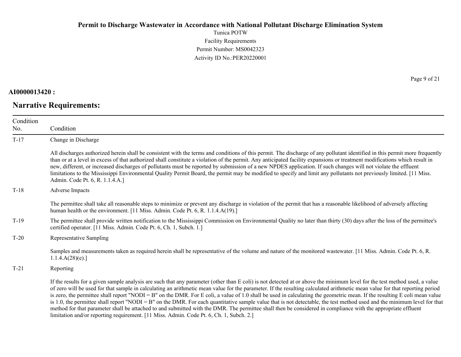Tunica POTW Facility Requirements Permit Number: MS0042323 Activity ID No.:PER20220001

### **AI0000013420 :**

# **Narrative Requirements:**

Page 9 of 21

| Condition<br>No. | Condition                                                                                                                                                                                                                                                                                                                                                                                                                                                                                                                                                                                                                                                                                                                                                                                                                                                                                                                                                                      |
|------------------|--------------------------------------------------------------------------------------------------------------------------------------------------------------------------------------------------------------------------------------------------------------------------------------------------------------------------------------------------------------------------------------------------------------------------------------------------------------------------------------------------------------------------------------------------------------------------------------------------------------------------------------------------------------------------------------------------------------------------------------------------------------------------------------------------------------------------------------------------------------------------------------------------------------------------------------------------------------------------------|
| $T-17$           | Change in Discharge                                                                                                                                                                                                                                                                                                                                                                                                                                                                                                                                                                                                                                                                                                                                                                                                                                                                                                                                                            |
|                  | All discharges authorized herein shall be consistent with the terms and conditions of this permit. The discharge of any pollutant identified in this permit more frequently<br>than or at a level in excess of that authorized shall constitute a violation of the permit. Any anticipated facility expansions or treatment modifications which result in<br>new, different, or increased discharges of pollutants must be reported by submission of a new NPDES application. If such changes will not violate the effluent<br>limitations to the Mississippi Environmental Quality Permit Board, the permit may be modified to specify and limit any pollutants not previously limited. [11 Miss.<br>Admin. Code Pt. 6, R. 1.1.4.A.]                                                                                                                                                                                                                                          |
| $T-18$           | Adverse Impacts                                                                                                                                                                                                                                                                                                                                                                                                                                                                                                                                                                                                                                                                                                                                                                                                                                                                                                                                                                |
|                  | The permittee shall take all reasonable steps to minimize or prevent any discharge in violation of the permit that has a reasonable likelihood of adversely affecting<br>human health or the environment. [11 Miss. Admin. Code Pt. 6, R. 1.1.4.A(19).]                                                                                                                                                                                                                                                                                                                                                                                                                                                                                                                                                                                                                                                                                                                        |
| $T-19$           | The permittee shall provide written notification to the Mississippi Commission on Environmental Quality no later than thirty (30) days after the loss of the permittee's<br>certified operator. [11 Miss. Admin. Code Pt. 6, Ch. 1, Subch. 1.]                                                                                                                                                                                                                                                                                                                                                                                                                                                                                                                                                                                                                                                                                                                                 |
| $T-20$           | Representative Sampling                                                                                                                                                                                                                                                                                                                                                                                                                                                                                                                                                                                                                                                                                                                                                                                                                                                                                                                                                        |
|                  | Samples and measurements taken as required herein shall be representative of the volume and nature of the monitored wastewater. [11 Miss. Admin. Code Pt. 6, R.<br>1.1.4.A(28)(e).                                                                                                                                                                                                                                                                                                                                                                                                                                                                                                                                                                                                                                                                                                                                                                                             |
| $T-21$           | Reporting                                                                                                                                                                                                                                                                                                                                                                                                                                                                                                                                                                                                                                                                                                                                                                                                                                                                                                                                                                      |
|                  | If the results for a given sample analysis are such that any parameter (other than E coli) is not detected at or above the minimum level for the test method used, a value<br>of zero will be used for that sample in calculating an arithmetic mean value for the parameter. If the resulting calculated arithmetic mean value for that reporting period<br>is zero, the permittee shall report "NODI = B" on the DMR. For E coli, a value of 1.0 shall be used in calculating the geometric mean. If the resulting E coli mean value<br>is 1.0, the permittee shall report "NODI = B" on the DMR. For each quantitative sample value that is not detectable, the test method used and the minimum level for that<br>method for that parameter shall be attached to and submitted with the DMR. The permittee shall then be considered in compliance with the appropriate effluent<br>limitation and/or reporting requirement. [11 Miss. Admin. Code Pt. 6, Ch. 1, Subch. 2.] |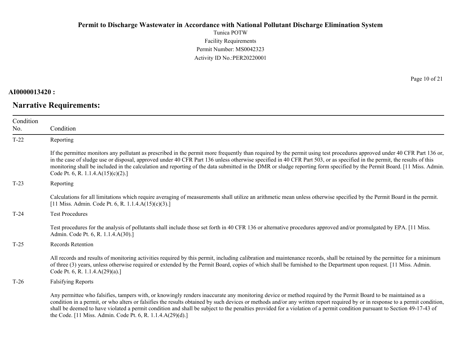Tunica POTW Facility Requirements Permit Number: MS0042323 Activity ID No.:PER20220001

### **AI0000013420 :**

# **Narrative Requirements:**

Page 10 of 21

| Condition |                                                                                                                                                                                                                                                                                                                                                                                                                                                                                                                                                                           |
|-----------|---------------------------------------------------------------------------------------------------------------------------------------------------------------------------------------------------------------------------------------------------------------------------------------------------------------------------------------------------------------------------------------------------------------------------------------------------------------------------------------------------------------------------------------------------------------------------|
| No.       | Condition                                                                                                                                                                                                                                                                                                                                                                                                                                                                                                                                                                 |
| $T-22$    | Reporting                                                                                                                                                                                                                                                                                                                                                                                                                                                                                                                                                                 |
|           | If the permittee monitors any pollutant as prescribed in the permit more frequently than required by the permit using test procedures approved under 40 CFR Part 136 or,<br>in the case of sludge use or disposal, approved under 40 CFR Part 136 unless otherwise specified in 40 CFR Part 503, or as specified in the permit, the results of this<br>monitoring shall be included in the calculation and reporting of the data submitted in the DMR or sludge reporting form specified by the Permit Board. [11 Miss. Admin.]<br>Code Pt. 6, R. 1.1.4. $A(15)(c)(2)$ .] |
| $T-23$    | Reporting                                                                                                                                                                                                                                                                                                                                                                                                                                                                                                                                                                 |
|           | Calculations for all limitations which require averaging of measurements shall utilize an arithmetic mean unless otherwise specified by the Permit Board in the permit.<br>[11 Miss. Admin. Code Pt. 6, R. 1.1.4.A(15)(c)(3).]                                                                                                                                                                                                                                                                                                                                            |
| $T-24$    | <b>Test Procedures</b>                                                                                                                                                                                                                                                                                                                                                                                                                                                                                                                                                    |
|           | Test procedures for the analysis of pollutants shall include those set forth in 40 CFR 136 or alternative procedures approved and/or promulgated by EPA. [11 Miss.]<br>Admin. Code Pt. 6, R. 1.1.4.A(30).]                                                                                                                                                                                                                                                                                                                                                                |
| $T-25$    | <b>Records Retention</b>                                                                                                                                                                                                                                                                                                                                                                                                                                                                                                                                                  |
|           | All records and results of monitoring activities required by this permit, including calibration and maintenance records, shall be retained by the permittee for a minimum<br>of three (3) years, unless otherwise required or extended by the Permit Board, copies of which shall be furnished to the Department upon request. [11 Miss. Admin.<br>Code Pt. 6, R. 1.1.4.A(29)(a).]                                                                                                                                                                                        |
| $T-26$    | <b>Falsifying Reports</b>                                                                                                                                                                                                                                                                                                                                                                                                                                                                                                                                                 |
|           | Any permittee who falsifies, tampers with, or knowingly renders inaccurate any monitoring device or method required by the Permit Board to be maintained as a<br>condition in a permit, or who alters or falsifies the results obtained by such devices or methods and/or any written report required by or in response to a permit condition,<br>shall be deemed to have violated a permit condition and shall be subject to the penalties provided for a violation of a permit condition pursuant to Section 49-17-43 of                                                |

the Code. [11 Miss. Admin. Code Pt. 6, R. 1.1.4.A(29)(d).]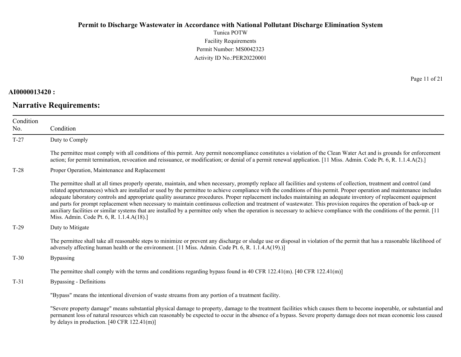Tunica POTW Facility Requirements Permit Number: MS0042323 Activity ID No.:PER20220001

### **AI0000013420 :**

# **Narrative Requirements:**

Page 11 of 21

| Condition<br>No. | Condition                                                                                                                                                                                                                                                                                                                                                                                                                                                                                                                                                                                                                                                                                                                                                                                                                                                                                                                 |
|------------------|---------------------------------------------------------------------------------------------------------------------------------------------------------------------------------------------------------------------------------------------------------------------------------------------------------------------------------------------------------------------------------------------------------------------------------------------------------------------------------------------------------------------------------------------------------------------------------------------------------------------------------------------------------------------------------------------------------------------------------------------------------------------------------------------------------------------------------------------------------------------------------------------------------------------------|
| $T-27$           | Duty to Comply                                                                                                                                                                                                                                                                                                                                                                                                                                                                                                                                                                                                                                                                                                                                                                                                                                                                                                            |
|                  | The permittee must comply with all conditions of this permit. Any permit noncompliance constitutes a violation of the Clean Water Act and is grounds for enforcement<br>action; for permit termination, revocation and reissuance, or modification; or denial of a permit renewal application. [11 Miss. Admin. Code Pt. 6, R. 1.1.4.A(2).]                                                                                                                                                                                                                                                                                                                                                                                                                                                                                                                                                                               |
| $T-28$           | Proper Operation, Maintenance and Replacement                                                                                                                                                                                                                                                                                                                                                                                                                                                                                                                                                                                                                                                                                                                                                                                                                                                                             |
|                  | The permittee shall at all times properly operate, maintain, and when necessary, promptly replace all facilities and systems of collection, treatment and control (and<br>related appurtenances) which are installed or used by the permittee to achieve compliance with the conditions of this permit. Proper operation and maintenance includes<br>adequate laboratory controls and appropriate quality assurance procedures. Proper replacement includes maintaining an adequate inventory of replacement equipment<br>and parts for prompt replacement when necessary to maintain continuous collection and treatment of wastewater. This provision requires the operation of back-up or<br>auxiliary facilities or similar systems that are installed by a permittee only when the operation is necessary to achieve compliance with the conditions of the permit. [11]<br>Miss. Admin. Code Pt. 6, R. 1.1.4.A(18).] |
| $T-29$           | Duty to Mitigate                                                                                                                                                                                                                                                                                                                                                                                                                                                                                                                                                                                                                                                                                                                                                                                                                                                                                                          |
|                  | The permittee shall take all reasonable steps to minimize or prevent any discharge or sludge use or disposal in violation of the permit that has a reasonable likelihood of<br>adversely affecting human health or the environment. [11 Miss. Admin. Code Pt. 6, R. 1.1.4.A(19).)]                                                                                                                                                                                                                                                                                                                                                                                                                                                                                                                                                                                                                                        |
| $T-30$           | <b>Bypassing</b>                                                                                                                                                                                                                                                                                                                                                                                                                                                                                                                                                                                                                                                                                                                                                                                                                                                                                                          |
|                  | The permittee shall comply with the terms and conditions regarding bypass found in 40 CFR 122.41(m). [40 CFR 122.41(m)]                                                                                                                                                                                                                                                                                                                                                                                                                                                                                                                                                                                                                                                                                                                                                                                                   |
| $T-31$           | Bypassing - Definitions                                                                                                                                                                                                                                                                                                                                                                                                                                                                                                                                                                                                                                                                                                                                                                                                                                                                                                   |
|                  | "Bypass" means the intentional diversion of waste streams from any portion of a treatment facility.                                                                                                                                                                                                                                                                                                                                                                                                                                                                                                                                                                                                                                                                                                                                                                                                                       |
|                  | "Severe property damage" means substantial physical damage to property, damage to the treatment facilities which causes them to become inoperable, or substantial and<br>permanent loss of natural resources which can reasonably be expected to occur in the absence of a bypass. Severe property damage does not mean economic loss caused<br>by delays in production. $[40 \text{ CFR } 122.41 \text{ (m)}]$                                                                                                                                                                                                                                                                                                                                                                                                                                                                                                           |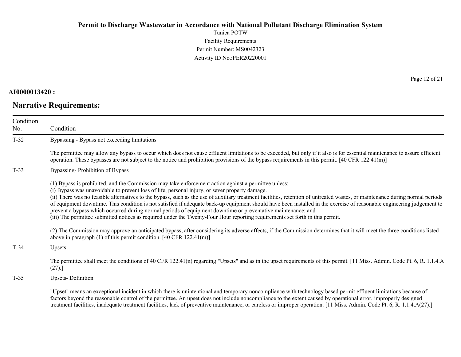Tunica POTW Facility Requirements Permit Number: MS0042323 Activity ID No.:PER20220001

### **AI0000013420 :**

# **Narrative Requirements:**

Page 12 of 21

| Condition<br>No. | Condition                                                                                                                                                                                                                                                                                                                                                                                                                                                                                                                                                                                                                                                                                                                                                                                                          |
|------------------|--------------------------------------------------------------------------------------------------------------------------------------------------------------------------------------------------------------------------------------------------------------------------------------------------------------------------------------------------------------------------------------------------------------------------------------------------------------------------------------------------------------------------------------------------------------------------------------------------------------------------------------------------------------------------------------------------------------------------------------------------------------------------------------------------------------------|
| $T-32$           | Bypassing - Bypass not exceeding limitations                                                                                                                                                                                                                                                                                                                                                                                                                                                                                                                                                                                                                                                                                                                                                                       |
|                  | The permittee may allow any bypass to occur which does not cause effluent limitations to be exceeded, but only if it also is for essential maintenance to assure efficient<br>operation. These bypasses are not subject to the notice and prohibition provisions of the bypass requirements in this permit. $[40 \text{ CFR } 122.41 \text{ (m)}]$                                                                                                                                                                                                                                                                                                                                                                                                                                                                 |
| $T-33$           | Bypassing-Prohibition of Bypass                                                                                                                                                                                                                                                                                                                                                                                                                                                                                                                                                                                                                                                                                                                                                                                    |
|                  | (1) Bypass is prohibited, and the Commission may take enforcement action against a permittee unless:<br>(i) Bypass was unavoidable to prevent loss of life, personal injury, or sever property damage.<br>(ii) There was no feasible alternatives to the bypass, such as the use of auxiliary treatment facilities, retention of untreated wastes, or maintenance during normal periods<br>of equipment downtime. This condition is not satisfied if adequate back-up equipment should have been installed in the exercise of reasonable engineering judgement to<br>prevent a bypass which occurred during normal periods of equipment downtime or preventative maintenance; and<br>(iii) The permittee submitted notices as required under the Twenty-Four Hour reporting requirements set forth in this permit. |
|                  | (2) The Commission may approve an anticipated bypass, after considering its adverse affects, if the Commission determines that it will meet the three conditions listed<br>above in paragraph $(1)$ of this permit condition. [40 CFR 122.41(m)]                                                                                                                                                                                                                                                                                                                                                                                                                                                                                                                                                                   |
| $T-34$           | Upsets                                                                                                                                                                                                                                                                                                                                                                                                                                                                                                                                                                                                                                                                                                                                                                                                             |
|                  | The permittee shall meet the conditions of 40 CFR 122.41(n) regarding "Upsets" and as in the upset requirements of this permit. [11 Miss. Admin. Code Pt. 6, R. 1.1.4.A<br>(27).                                                                                                                                                                                                                                                                                                                                                                                                                                                                                                                                                                                                                                   |
| $T-35$           | <b>Upsets-Definition</b>                                                                                                                                                                                                                                                                                                                                                                                                                                                                                                                                                                                                                                                                                                                                                                                           |
|                  | "Upset" means an exceptional incident in which there is unintentional and temporary noncompliance with technology based permit effluent limitations because of<br>factors beyond the reasonable control of the permittee. An upset does not include noncompliance to the extent caused by operational error, improperly designed<br>treatment facilities, inadequate treatment facilities, lack of preventive maintenance, or careless or improper operation. [11 Miss. Admin. Code Pt. 6, R. 1.1.4.A(27).]                                                                                                                                                                                                                                                                                                        |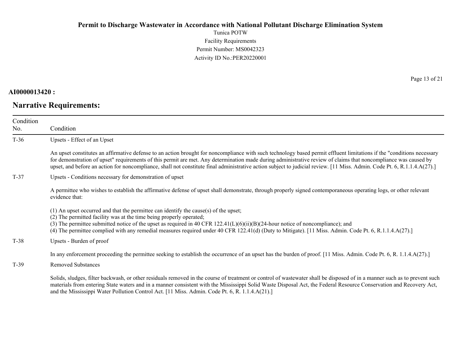Tunica POTW Facility Requirements Permit Number: MS0042323 Activity ID No.:PER20220001

**AI0000013420 :**

**Narrative Requirements:**

Page 13 of 21

| Condition<br>No. | Condition                                                                                                                                                                                                                                                                                                                                                                                                                                                                                                             |
|------------------|-----------------------------------------------------------------------------------------------------------------------------------------------------------------------------------------------------------------------------------------------------------------------------------------------------------------------------------------------------------------------------------------------------------------------------------------------------------------------------------------------------------------------|
| $T-36$           | Upsets - Effect of an Upset                                                                                                                                                                                                                                                                                                                                                                                                                                                                                           |
|                  | An upset constitutes an affirmative defense to an action brought for noncompliance with such technology based permit effluent limitations if the "conditions necessary<br>for demonstration of upset" requirements of this permit are met. Any determination made during administrative review of claims that noncompliance was caused by<br>upset, and before an action for noncompliance, shall not constitute final administrative action subject to judicial review. [11 Miss. Admin. Code Pt. 6, R.1.1.4.A(27).] |
| $T-37$           | Upsets - Conditions necessary for demonstration of upset                                                                                                                                                                                                                                                                                                                                                                                                                                                              |
|                  | A permittee who wishes to establish the affirmative defense of upset shall demonstrate, through properly signed contemporaneous operating logs, or other relevant<br>evidence that:                                                                                                                                                                                                                                                                                                                                   |
|                  | $(1)$ An upset occurred and that the permittee can identify the cause(s) of the upset;<br>(2) The permitted facility was at the time being properly operated;<br>(3) The permittee submitted notice of the upset as required in 40 CFR $122.41(L)(6)(ii)(B)(24-hour notice of noncompliance)$ ; and<br>(4) The permittee complied with any remedial measures required under 40 CFR 122.41(d) (Duty to Mitigate). [11 Miss. Admin. Code Pt. 6, R.1.1.4.A(27).]                                                         |
| $T-38$           | Upsets - Burden of proof                                                                                                                                                                                                                                                                                                                                                                                                                                                                                              |
|                  | In any enforcement proceeding the permittee seeking to establish the occurrence of an upset has the burden of proof. [11 Miss. Admin. Code Pt. 6, R. 1.1.4.A(27).]                                                                                                                                                                                                                                                                                                                                                    |
| $T-39$           | <b>Removed Substances</b>                                                                                                                                                                                                                                                                                                                                                                                                                                                                                             |
|                  | Solids, sludges, filter backwash, or other residuals removed in the course of treatment or control of wastewater shall be disposed of in a manner such as to prevent such<br>materials from entering State waters and in a manner consistent with the Mississippi Solid Waste Disposal Act, the Federal Resource Conservation and Recovery Act,<br>and the Mississippi Water Pollution Control Act. [11 Miss. Admin. Code Pt. 6, R. 1.1.4.A(21).]                                                                     |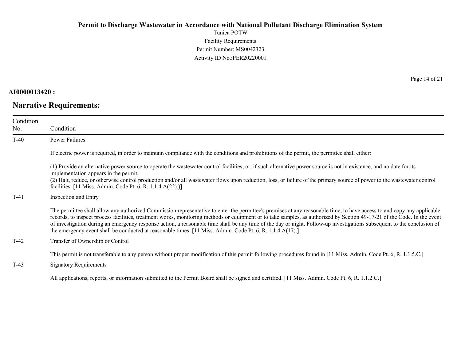Tunica POTW Facility Requirements Permit Number: MS0042323 Activity ID No.:PER20220001

**AI0000013420 :**

**Narrative Requirements:**

Page 14 of 21

| Condition<br>No. | Condition                                                                                                                                                                                                                                                                                                                                                                                                                                                                                                                                                                                                                                  |
|------------------|--------------------------------------------------------------------------------------------------------------------------------------------------------------------------------------------------------------------------------------------------------------------------------------------------------------------------------------------------------------------------------------------------------------------------------------------------------------------------------------------------------------------------------------------------------------------------------------------------------------------------------------------|
| $T-40$           | Power Failures                                                                                                                                                                                                                                                                                                                                                                                                                                                                                                                                                                                                                             |
|                  | If electric power is required, in order to maintain compliance with the conditions and prohibitions of the permit, the permittee shall either:                                                                                                                                                                                                                                                                                                                                                                                                                                                                                             |
|                  | (1) Provide an alternative power source to operate the wastewater control facilities; or, if such alternative power source is not in existence, and no date for its<br>implementation appears in the permit,<br>(2) Halt, reduce, or otherwise control production and/or all wastewater flows upon reduction, loss, or failure of the primary source of power to the wastewater control<br>facilities. [11 Miss. Admin. Code Pt. 6, R. 1.1.4.A(22).)]                                                                                                                                                                                      |
| $T-41$           | Inspection and Entry                                                                                                                                                                                                                                                                                                                                                                                                                                                                                                                                                                                                                       |
|                  | The permittee shall allow any authorized Commission representative to enter the permittee's premises at any reasonable time, to have access to and copy any applicable<br>records, to inspect process facilities, treatment works, monitoring methods or equipment or to take samples, as authorized by Section 49-17-21 of the Code. In the event<br>of investigation during an emergency response action, a reasonable time shall be any time of the day or night. Follow-up investigations subsequent to the conclusion of<br>the emergency event shall be conducted at reasonable times. [11 Miss. Admin. Code Pt. 6, R. 1.1.4.A(17).] |
| $T-42$           | Transfer of Ownership or Control                                                                                                                                                                                                                                                                                                                                                                                                                                                                                                                                                                                                           |
| $T-43$           | This permit is not transferable to any person without proper modification of this permit following procedures found in [11 Miss. Admin. Code Pt. 6, R. 1.1.5.C.]<br><b>Signatory Requirements</b>                                                                                                                                                                                                                                                                                                                                                                                                                                          |

All applications, reports, or information submitted to the Permit Board shall be signed and certified. [11 Miss. Admin. Code Pt. 6, R. 1.1.2.C.]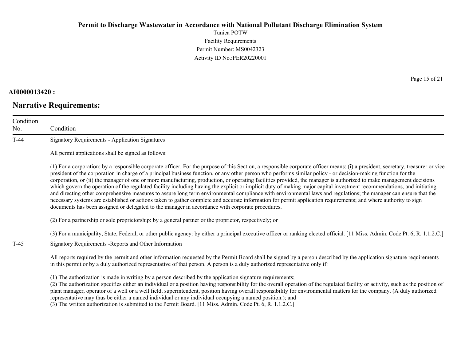Tunica POTW Facility Requirements Permit Number: MS0042323 Activity ID No.:PER20220001

### **AI0000013420 :**

# **Narrative Requirements:**

Page 15 of 21

| Condition<br>No. | Condition                                                                                                                                                                                                                                                                                                                                                                                                                                                                                                                                                                                                                                                                                                                                                                                                                                                                                                                                                                                                                                                                                                                                      |
|------------------|------------------------------------------------------------------------------------------------------------------------------------------------------------------------------------------------------------------------------------------------------------------------------------------------------------------------------------------------------------------------------------------------------------------------------------------------------------------------------------------------------------------------------------------------------------------------------------------------------------------------------------------------------------------------------------------------------------------------------------------------------------------------------------------------------------------------------------------------------------------------------------------------------------------------------------------------------------------------------------------------------------------------------------------------------------------------------------------------------------------------------------------------|
| $T-44$           | <b>Signatory Requirements - Application Signatures</b>                                                                                                                                                                                                                                                                                                                                                                                                                                                                                                                                                                                                                                                                                                                                                                                                                                                                                                                                                                                                                                                                                         |
|                  | All permit applications shall be signed as follows:                                                                                                                                                                                                                                                                                                                                                                                                                                                                                                                                                                                                                                                                                                                                                                                                                                                                                                                                                                                                                                                                                            |
|                  | (1) For a corporation: by a responsible corporate officer. For the purpose of this Section, a responsible corporate officer means: (i) a president, secretary, treasurer or vice<br>president of the corporation in charge of a principal business function, or any other person who performs similar policy - or decision-making function for the<br>corporation, or (ii) the manager of one or more manufacturing, production, or operating facilities provided, the manager is authorized to make management decisions<br>which govern the operation of the regulated facility including having the explicit or implicit duty of making major capital investment recommendations, and initiating<br>and directing other comprehensive measures to assure long term environmental compliance with environmental laws and regulations; the manager can ensure that the<br>necessary systems are established or actions taken to gather complete and accurate information for permit application requirements; and where authority to sign<br>documents has been assigned or delegated to the manager in accordance with corporate procedures. |
|                  | (2) For a partnership or sole proprietorship: by a general partner or the proprietor, respectively; or                                                                                                                                                                                                                                                                                                                                                                                                                                                                                                                                                                                                                                                                                                                                                                                                                                                                                                                                                                                                                                         |
| $T-45$           | (3) For a municipality, State, Federal, or other public agency: by either a principal executive officer or ranking elected official. [11 Miss. Admin. Code Pt. 6, R. 1.1.2.C.]<br>Signatory Requirements - Reports and Other Information                                                                                                                                                                                                                                                                                                                                                                                                                                                                                                                                                                                                                                                                                                                                                                                                                                                                                                       |
|                  | All reports required by the permit and other information requested by the Permit Board shall be signed by a person described by the application signature requirements<br>in this permit or by a duly authorized representative of that person. A person is a duly authorized representative only if:                                                                                                                                                                                                                                                                                                                                                                                                                                                                                                                                                                                                                                                                                                                                                                                                                                          |
|                  | (1) The authorization is made in writing by a person described by the application signature requirements;<br>(2) The authorization specifies either an individual or a position having responsibility for the overall operation of the regulated facility or activity, such as the position of<br>plant manager, operator of a well or a well field, superintendent, position having overall responsibility for environmental matters for the company. (A duly authorized<br>representative may thus be either a named individual or any individual occupying a named position.); and                                                                                                                                                                                                                                                                                                                                                                                                                                                                                                                                                          |

(3) The written authorization is submitted to the Permit Board. [11 Miss. Admin. Code Pt. 6, R. 1.1.2.C.]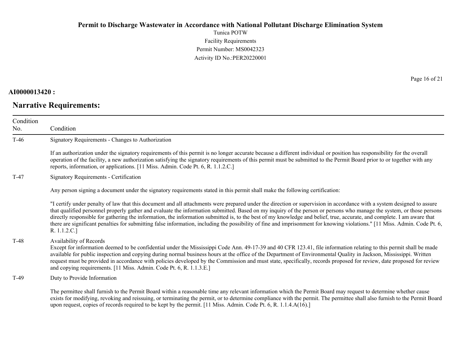Tunica POTW Facility Requirements Permit Number: MS0042323 Activity ID No.:PER20220001

### **AI0000013420 :**

# **Narrative Requirements:**

Page 16 of 21

| Condition<br>No. | Condition                                                                                                                                                                                                                                                                                                                                                                                                                                                                                                                                                                                                                                                                                                                |
|------------------|--------------------------------------------------------------------------------------------------------------------------------------------------------------------------------------------------------------------------------------------------------------------------------------------------------------------------------------------------------------------------------------------------------------------------------------------------------------------------------------------------------------------------------------------------------------------------------------------------------------------------------------------------------------------------------------------------------------------------|
| $T-46$           | Signatory Requirements - Changes to Authorization                                                                                                                                                                                                                                                                                                                                                                                                                                                                                                                                                                                                                                                                        |
|                  | If an authorization under the signatory requirements of this permit is no longer accurate because a different individual or position has responsibility for the overall<br>operation of the facility, a new authorization satisfying the signatory requirements of this permit must be submitted to the Permit Board prior to or together with any<br>reports, information, or applications. [11 Miss. Admin. Code Pt. 6, R. 1.1.2.C.]                                                                                                                                                                                                                                                                                   |
| $T-47$           | <b>Signatory Requirements - Certification</b>                                                                                                                                                                                                                                                                                                                                                                                                                                                                                                                                                                                                                                                                            |
|                  | Any person signing a document under the signatory requirements stated in this permit shall make the following certification:                                                                                                                                                                                                                                                                                                                                                                                                                                                                                                                                                                                             |
|                  | "I certify under penalty of law that this document and all attachments were prepared under the direction or supervision in accordance with a system designed to assure<br>that qualified personnel properly gather and evaluate the information submitted. Based on my inquiry of the person or persons who manage the system, or those persons<br>directly responsible for gathering the information, the information submitted is, to the best of my knowledge and belief, true, accurate, and complete. I am aware that<br>there are significant penalties for submitting false information, including the possibility of fine and imprisonment for knowing violations." [11 Miss. Admin. Code Pt. 6,<br>R. 1.1.2.C.] |
| $T-48$           | Availability of Records<br>Except for information deemed to be confidential under the Mississippi Code Ann. 49-17-39 and 40 CFR 123.41, file information relating to this permit shall be made<br>available for public inspection and copying during normal business hours at the office of the Department of Environmental Quality in Jackson, Mississippi. Written<br>request must be provided in accordance with policies developed by the Commission and must state, specifically, records proposed for review, date proposed for review<br>and copying requirements. [11 Miss. Admin. Code Pt. 6, R. 1.1.3.E.]                                                                                                      |
| $T-49$           | Duty to Provide Information                                                                                                                                                                                                                                                                                                                                                                                                                                                                                                                                                                                                                                                                                              |
|                  | The permittee shall furnish to the Permit Board within a reasonable time any relevant information which the Permit Board may request to determine whether cause<br>exists for modifying, revoking and reissuing, or terminating the permit, or to determine compliance with the permit. The permittee shall also furnish to the Permit Board<br>upon request, copies of records required to be kept by the permit. [11 Miss. Admin. Code Pt. 6, R. 1.1.4.A(16).]                                                                                                                                                                                                                                                         |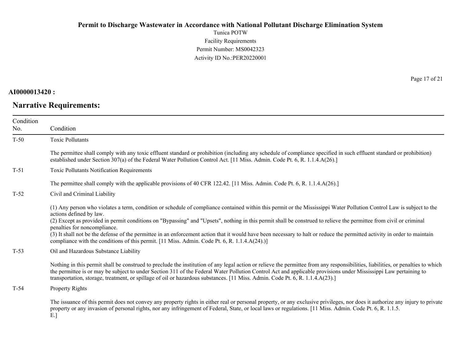Tunica POTW Facility Requirements Permit Number: MS0042323 Activity ID No.:PER20220001

## **AI0000013420 :**

# **Narrative Requirements:**

Page 17 of 21

| Condition |                                                                                                                                                                                                                                                                                                                                                                                                                                                                                       |
|-----------|---------------------------------------------------------------------------------------------------------------------------------------------------------------------------------------------------------------------------------------------------------------------------------------------------------------------------------------------------------------------------------------------------------------------------------------------------------------------------------------|
| No.       | Condition                                                                                                                                                                                                                                                                                                                                                                                                                                                                             |
| $T-50$    | <b>Toxic Pollutants</b>                                                                                                                                                                                                                                                                                                                                                                                                                                                               |
|           | The permittee shall comply with any toxic effluent standard or prohibition (including any schedule of compliance specified in such effluent standard or prohibition)<br>established under Section 307(a) of the Federal Water Pollution Control Act. [11 Miss. Admin. Code Pt. 6, R. 1.1.4.A(26).]                                                                                                                                                                                    |
| $T-51$    | <b>Toxic Pollutants Notification Requirements</b>                                                                                                                                                                                                                                                                                                                                                                                                                                     |
|           | The permittee shall comply with the applicable provisions of 40 CFR 122.42. [11 Miss. Admin. Code Pt. 6, R. 1.1.4.A(26).]                                                                                                                                                                                                                                                                                                                                                             |
| $T-52$    | Civil and Criminal Liability                                                                                                                                                                                                                                                                                                                                                                                                                                                          |
|           | (1) Any person who violates a term, condition or schedule of compliance contained within this permit or the Mississippi Water Pollution Control Law is subject to the<br>actions defined by law.<br>(2) Except as provided in permit conditions on "Bypassing" and "Upsets", nothing in this permit shall be construed to relieve the permittee from civil or criminal                                                                                                                |
|           | penalties for noncompliance.                                                                                                                                                                                                                                                                                                                                                                                                                                                          |
|           | (3) It shall not be the defense of the permittee in an enforcement action that it would have been necessary to halt or reduce the permitted activity in order to maintain<br>compliance with the conditions of this permit. [11 Miss. Admin. Code Pt. 6, R. 1.1.4.A(24).)]                                                                                                                                                                                                            |
| $T-53$    | Oil and Hazardous Substance Liability                                                                                                                                                                                                                                                                                                                                                                                                                                                 |
|           | Nothing in this permit shall be construed to preclude the institution of any legal action or relieve the permittee from any responsibilities, liabilities, or penalties to which<br>the permittee is or may be subject to under Section 311 of the Federal Water Pollution Control Act and applicable provisions under Mississippi Law pertaining to<br>transportation, storage, treatment, or spillage of oil or hazardous substances. [11 Miss. Admin. Code Pt. 6, R. 1.1.4.A(23).] |
| $T-54$    | Property Rights                                                                                                                                                                                                                                                                                                                                                                                                                                                                       |
|           | The issuance of this permit does not convey any property rights in either real or personal property, or any exclusive privileges, nor does it authorize any injury to private<br>property or any invasion of personal rights, nor any infringement of Federal, State, or local laws or regulations. [11 Miss. Admin. Code Pt. 6, R. 1.1.5.                                                                                                                                            |

E.]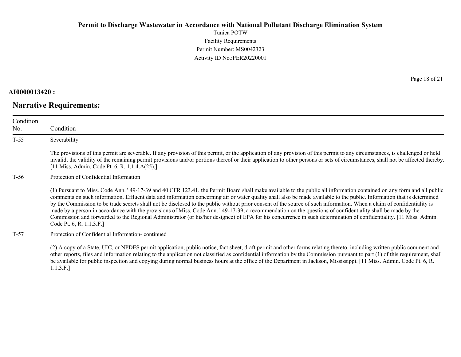Tunica POTW Facility Requirements Permit Number: MS0042323 Activity ID No.:PER20220001

### **AI0000013420 :**

# **Narrative Requirements:**

Page 18 of 21

| Condition<br>No. | Condition                                                                                                                                                                                                                                                                                                                                                                                                                                                                                                                                                                                                                                                                                                                                                                                                                                                                                 |
|------------------|-------------------------------------------------------------------------------------------------------------------------------------------------------------------------------------------------------------------------------------------------------------------------------------------------------------------------------------------------------------------------------------------------------------------------------------------------------------------------------------------------------------------------------------------------------------------------------------------------------------------------------------------------------------------------------------------------------------------------------------------------------------------------------------------------------------------------------------------------------------------------------------------|
| $T-55$           | Severability                                                                                                                                                                                                                                                                                                                                                                                                                                                                                                                                                                                                                                                                                                                                                                                                                                                                              |
|                  | The provisions of this permit are severable. If any provision of this permit, or the application of any provision of this permit to any circumstances, is challenged or held<br>invalid, the validity of the remaining permit provisions and/or portions thereof or their application to other persons or sets of circumstances, shall not be affected thereby.<br>[11 Miss. Admin. Code Pt. 6, R. 1.1.4.A(25).]                                                                                                                                                                                                                                                                                                                                                                                                                                                                          |
| T-56             | Protection of Confidential Information                                                                                                                                                                                                                                                                                                                                                                                                                                                                                                                                                                                                                                                                                                                                                                                                                                                    |
|                  | (1) Pursuant to Miss. Code Ann. '49-17-39 and 40 CFR 123.41, the Permit Board shall make available to the public all information contained on any form and all public<br>comments on such information. Effluent data and information concerning air or water quality shall also be made available to the public. Information that is determined<br>by the Commission to be trade secrets shall not be disclosed to the public without prior consent of the source of such information. When a claim of confidentiality is<br>made by a person in accordance with the provisions of Miss. Code Ann. '49-17-39, a recommendation on the questions of confidentiality shall be made by the<br>Commission and forwarded to the Regional Administrator (or his/her designee) of EPA for his concurrence in such determination of confidentiality. [11 Miss. Admin.<br>Code Pt. 6, R. 1.1.3.F.] |
| $T-57$           | Protection of Confidential Information-continued                                                                                                                                                                                                                                                                                                                                                                                                                                                                                                                                                                                                                                                                                                                                                                                                                                          |
|                  | (2) A copy of a State, UIC, or NPDES permit application, public notice, fact sheet, draft permit and other forms relating thereto, including written public comment and<br>other reports, files and information relating to the application not classified as confidential information by the Commission pursuant to part (1) of this requirement, shall<br>be available for public inspection and copying during normal business hours at the office of the Department in Jackson, Mississippi. [11 Miss. Admin. Code Pt. 6, R.                                                                                                                                                                                                                                                                                                                                                          |

1.1.3.F.]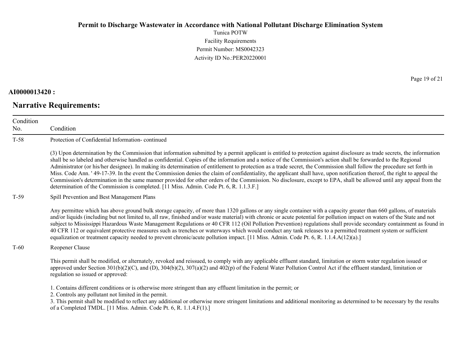Tunica POTW Facility Requirements Permit Number: MS0042323 Activity ID No.:PER20220001

### **AI0000013420 :**

# **Narrative Requirements:**

Page 19 of 21

| Condition<br>No. | Condition                                                                                                                                                                                                                                                                                                                                                                                                                                                                                                                                                                                                                                                                                                                                                                                                                                                                                                                                                            |
|------------------|----------------------------------------------------------------------------------------------------------------------------------------------------------------------------------------------------------------------------------------------------------------------------------------------------------------------------------------------------------------------------------------------------------------------------------------------------------------------------------------------------------------------------------------------------------------------------------------------------------------------------------------------------------------------------------------------------------------------------------------------------------------------------------------------------------------------------------------------------------------------------------------------------------------------------------------------------------------------|
| $T-58$           | Protection of Confidential Information-continued                                                                                                                                                                                                                                                                                                                                                                                                                                                                                                                                                                                                                                                                                                                                                                                                                                                                                                                     |
|                  | (3) Upon determination by the Commission that information submitted by a permit applicant is entitled to protection against disclosure as trade secrets, the information<br>shall be so labeled and otherwise handled as confidential. Copies of the information and a notice of the Commission's action shall be forwarded to the Regional<br>Administrator (or his/her designee). In making its determination of entitlement to protection as a trade secret, the Commission shall follow the procedure set forth in<br>Miss. Code Ann. '49-17-39. In the event the Commission denies the claim of confidentiality, the applicant shall have, upon notification thereof, the right to appeal the<br>Commission's determination in the same manner provided for other orders of the Commission. No disclosure, except to EPA, shall be allowed until any appeal from the<br>determination of the Commission is completed. [11 Miss. Admin. Code Pt. 6, R. 1.1.3.F.] |
| $T-59$           | Spill Prevention and Best Management Plans                                                                                                                                                                                                                                                                                                                                                                                                                                                                                                                                                                                                                                                                                                                                                                                                                                                                                                                           |
|                  | Any permittee which has above ground bulk storage capacity, of more than 1320 gallons or any single container with a capacity greater than 660 gallons, of materials<br>and/or liquids (including but not limited to, all raw, finished and/or waste material) with chronic or acute potential for pollution impact on waters of the State and not<br>subject to Mississippi Hazardous Waste Management Regulations or 40 CFR 112 (Oil Pollution Prevention) regulations shall provide secondary containment as found in<br>40 CFR 112 or equivalent protective measures such as trenches or waterways which would conduct any tank releases to a permitted treatment system or sufficient<br>equalization or treatment capacity needed to prevent chronic/acute pollution impact. [11 Miss. Admin. Code Pt. 6, R. 1.1.4.A(12)(a).]                                                                                                                                  |
| $T-60$           | Reopener Clause                                                                                                                                                                                                                                                                                                                                                                                                                                                                                                                                                                                                                                                                                                                                                                                                                                                                                                                                                      |
|                  | This permit shall be modified, or alternately, revoked and reissued, to comply with any applicable effluent standard, limitation or storm water regulation issued or<br>approved under Section 301(b)(2)(C), and (D), 304(b)(2), 307(a)(2) and 402(p) of the Federal Water Pollution Control Act if the effluent standard, limitation or<br>regulation so issued or approved:                                                                                                                                                                                                                                                                                                                                                                                                                                                                                                                                                                                        |
|                  | 1. Contains different conditions or is otherwise more stringent than any effluent limitation in the permit; or<br>2. Controls any pollutant not limited in the permit.<br>3. This permit shall be modified to reflect any additional or otherwise more stringent limitations and additional monitoring as determined to be necessary by the results<br>of a Completed TMDL. [11 Miss. Admin. Code Pt. 6, R. 1.1.4.F(1).]                                                                                                                                                                                                                                                                                                                                                                                                                                                                                                                                             |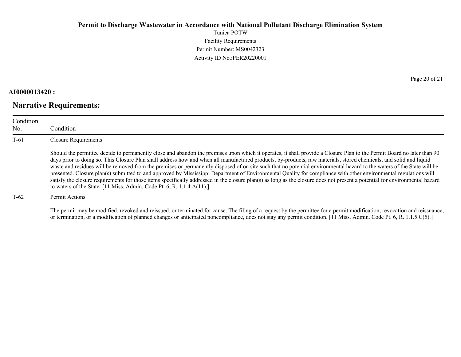Tunica POTW Facility Requirements Permit Number: MS0042323 Activity ID No.:PER20220001

#### **AI0000013420 :**

## **Narrative Requirements:**

Page 20 of 21

| Condition<br>No. | Condition                                                                                                                                                                                                                                                                                                                                                                                                                                                                                                                                                                                                                                                                                                                                                                                                                                                                                                                                              |
|------------------|--------------------------------------------------------------------------------------------------------------------------------------------------------------------------------------------------------------------------------------------------------------------------------------------------------------------------------------------------------------------------------------------------------------------------------------------------------------------------------------------------------------------------------------------------------------------------------------------------------------------------------------------------------------------------------------------------------------------------------------------------------------------------------------------------------------------------------------------------------------------------------------------------------------------------------------------------------|
| $T-61$           | Closure Requirements                                                                                                                                                                                                                                                                                                                                                                                                                                                                                                                                                                                                                                                                                                                                                                                                                                                                                                                                   |
|                  | Should the permittee decide to permanently close and abandon the premises upon which it operates, it shall provide a Closure Plan to the Permit Board no later than 90<br>days prior to doing so. This Closure Plan shall address how and when all manufactured products, by-products, raw materials, stored chemicals, and solid and liquid<br>waste and residues will be removed from the premises or permanently disposed of on site such that no potential environmental hazard to the waters of the State will be<br>presented. Closure plan(s) submitted to and approved by Mississippi Department of Environmental Quality for compliance with other environmental regulations will<br>satisfy the closure requirements for those items specifically addressed in the closure plan(s) as long as the closure does not present a potential for environmental hazard<br>to waters of the State. [11 Miss. Admin. Code Pt. 6, R. 1.1.4. $A(11)$ .] |
| T-62             | Permit Actions                                                                                                                                                                                                                                                                                                                                                                                                                                                                                                                                                                                                                                                                                                                                                                                                                                                                                                                                         |

The permit may be modified, revoked and reissued, or terminated for cause. The filing of a request by the permittee for a permit modification, revocation and reissuance, or termination, or a modification of planned changes or anticipated noncompliance, does not stay any permit condition. [11 Miss. Admin. Code Pt. 6, R. 1.1.5.C(5).]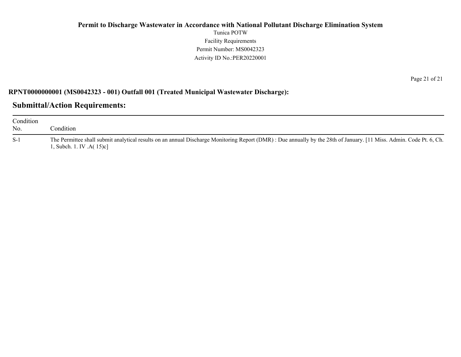### **Permit to Discharge Wastewater in Accordance with National Pollutant Discharge Elimination System** Tunica POTW Facility Requirements Permit Number: MS0042323 Activity ID No.:PER20220001

#### **RPNT0000000001 (MS0042323 - 001) Outfall 001 (Treated Municipal Wastewater Discharge):**

## **Submittal/Action Requirements:**

| Condition<br>No. | Condition                                                                                                                                                                                       |
|------------------|-------------------------------------------------------------------------------------------------------------------------------------------------------------------------------------------------|
| $S-1$            | The Permittee shall submit analytical results on an annual Discharge Monitoring Report (DMR): Due annually by the 28th of January. [11 Miss. Admin. Code Pt. 6, Ch.<br>1, Subch. 1. IV .A(15)c] |